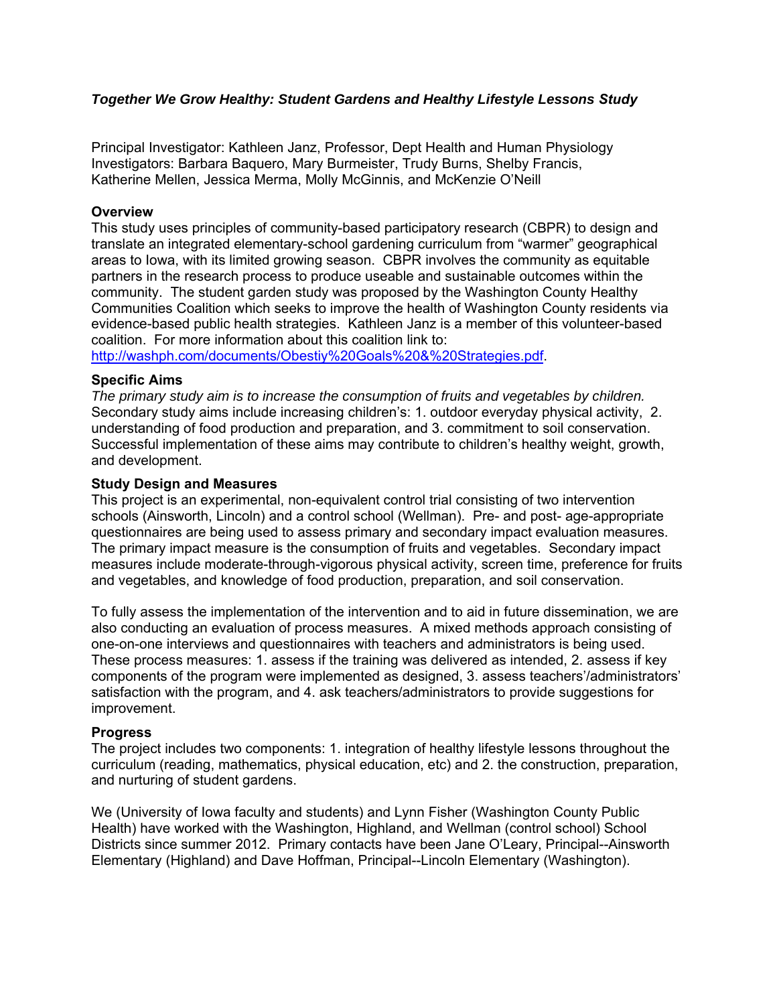#### *Together We Grow Healthy: Student Gardens and Healthy Lifestyle Lessons Study*

Principal Investigator: Kathleen Janz, Professor, Dept Health and Human Physiology Investigators: Barbara Baquero, Mary Burmeister, Trudy Burns, Shelby Francis, Katherine Mellen, Jessica Merma, Molly McGinnis, and McKenzie O'Neill

#### **Overview**

This study uses principles of community-based participatory research (CBPR) to design and translate an integrated elementary-school gardening curriculum from "warmer" geographical areas to Iowa, with its limited growing season. CBPR involves the community as equitable partners in the research process to produce useable and sustainable outcomes within the community. The student garden study was proposed by the Washington County Healthy Communities Coalition which seeks to improve the health of Washington County residents via evidence-based public health strategies. Kathleen Janz is a member of this volunteer-based coalition. For more information about this coalition link to:

<http://washph.com/documents/Obestiy%20Goals%20&%20Strategies.pdf>.

#### **Specific Aims**

*The primary study aim is to increase the consumption of fruits and vegetables by children.* Secondary study aims include increasing children's: 1. outdoor everyday physical activity, 2. understanding of food production and preparation, and 3. commitment to soil conservation. Successful implementation of these aims may contribute to children's healthy weight, growth, and development.

#### **Study Design and Measures**

This project is an experimental, non-equivalent control trial consisting of two intervention schools (Ainsworth, Lincoln) and a control school (Wellman). Pre- and post- age-appropriate questionnaires are being used to assess primary and secondary impact evaluation measures. The primary impact measure is the consumption of fruits and vegetables. Secondary impact measures include moderate-through-vigorous physical activity, screen time, preference for fruits and vegetables, and knowledge of food production, preparation, and soil conservation.

To fully assess the implementation of the intervention and to aid in future dissemination, we are also conducting an evaluation of process measures. A mixed methods approach consisting of one-on-one interviews and questionnaires with teachers and administrators is being used. These process measures: 1. assess if the training was delivered as intended, 2. assess if key components of the program were implemented as designed, 3. assess teachers'/administrators' satisfaction with the program, and 4. ask teachers/administrators to provide suggestions for improvement.

#### **Progress**

The project includes two components: 1. integration of healthy lifestyle lessons throughout the curriculum (reading, mathematics, physical education, etc) and 2. the construction, preparation, and nurturing of student gardens.

We (University of Iowa faculty and students) and Lynn Fisher (Washington County Public Health) have worked with the Washington, Highland, and Wellman (control school) School Districts since summer 2012. Primary contacts have been Jane O'Leary, Principal--Ainsworth Elementary (Highland) and Dave Hoffman, Principal--Lincoln Elementary (Washington).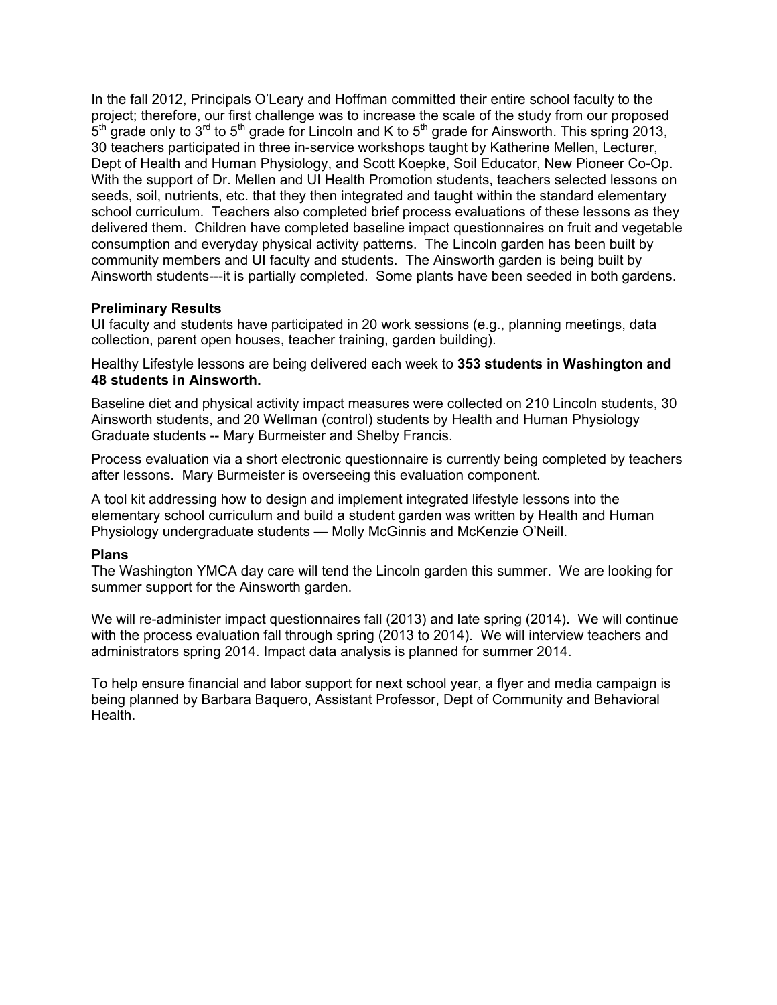In the fall 2012, Principals O'Leary and Hoffman committed their entire school faculty to the project; therefore, our first challenge was to increase the scale of the study from our proposed  $5<sup>th</sup>$  grade only to 3<sup>rd</sup> to 5<sup>th</sup> grade for Lincoln and K to 5<sup>th</sup> grade for Ainsworth. This spring 2013, 30 teachers participated in three in-service workshops taught by Katherine Mellen, Lecturer, Dept of Health and Human Physiology, and Scott Koepke, Soil Educator, New Pioneer Co-Op. With the support of Dr. Mellen and UI Health Promotion students, teachers selected lessons on seeds, soil, nutrients, etc. that they then integrated and taught within the standard elementary school curriculum. Teachers also completed brief process evaluations of these lessons as they delivered them. Children have completed baseline impact questionnaires on fruit and vegetable consumption and everyday physical activity patterns. The Lincoln garden has been built by community members and UI faculty and students. The Ainsworth garden is being built by Ainsworth students---it is partially completed. Some plants have been seeded in both gardens.

#### **Preliminary Results**

UI faculty and students have participated in 20 work sessions (e.g., planning meetings, data collection, parent open houses, teacher training, garden building).

Healthy Lifestyle lessons are being delivered each week to **353 students in Washington and 48 students in Ainsworth.**

Baseline diet and physical activity impact measures were collected on 210 Lincoln students, 30 Ainsworth students, and 20 Wellman (control) students by Health and Human Physiology Graduate students -- Mary Burmeister and Shelby Francis.

Process evaluation via a short electronic questionnaire is currently being completed by teachers after lessons. Mary Burmeister is overseeing this evaluation component.

A tool kit addressing how to design and implement integrated lifestyle lessons into the elementary school curriculum and build a student garden was written by Health and Human Physiology undergraduate students — Molly McGinnis and McKenzie O'Neill.

#### **Plans**

The Washington YMCA day care will tend the Lincoln garden this summer. We are looking for summer support for the Ainsworth garden.

We will re-administer impact questionnaires fall (2013) and late spring (2014). We will continue with the process evaluation fall through spring (2013 to 2014). We will interview teachers and administrators spring 2014. Impact data analysis is planned for summer 2014.

To help ensure financial and labor support for next school year, a flyer and media campaign is being planned by Barbara Baquero, Assistant Professor, Dept of Community and Behavioral Health.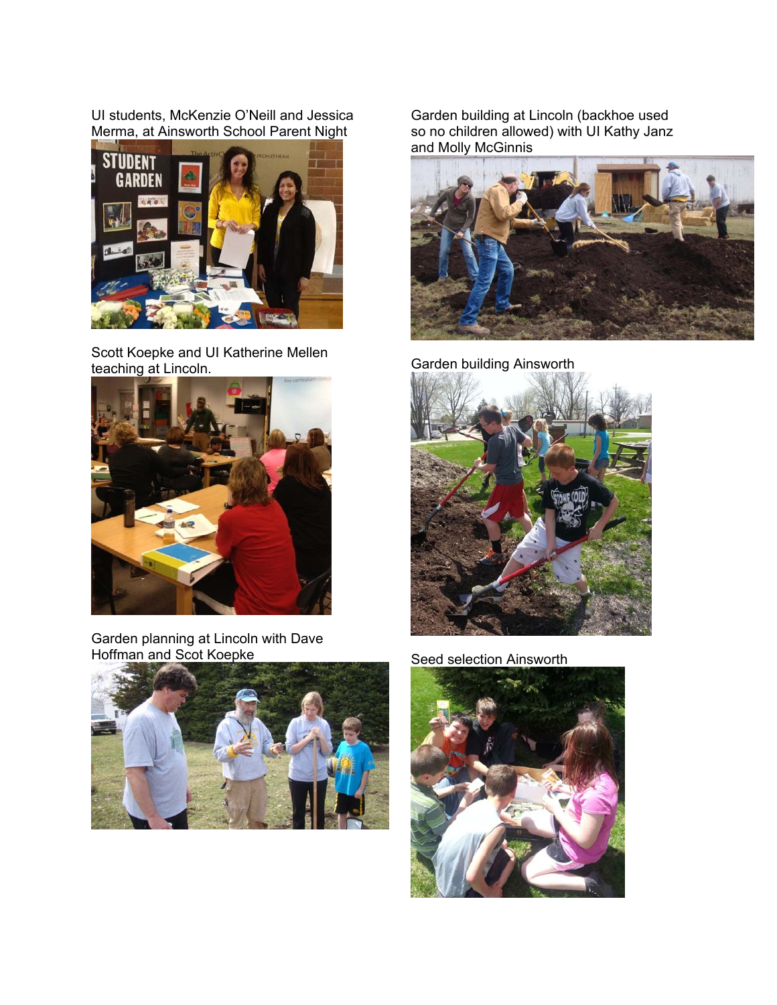UI students, McKenzie O'Neill and Jessica Merma, at Ainsworth School Parent Night



Scott Koepke and UI Katherine Mellen Scott Roepke and Of Ratherine Mellen.<br>
Garden building Ainsworth<br>
Garden building Ainsworth



Garden planning at Lincoln with Dave<br>Hoffman and Scot Koepke



Garden building at Lincoln (backhoe used so no children allowed) with UI Kathy Janz and Molly McGinnis





Seed selection Ainsworth

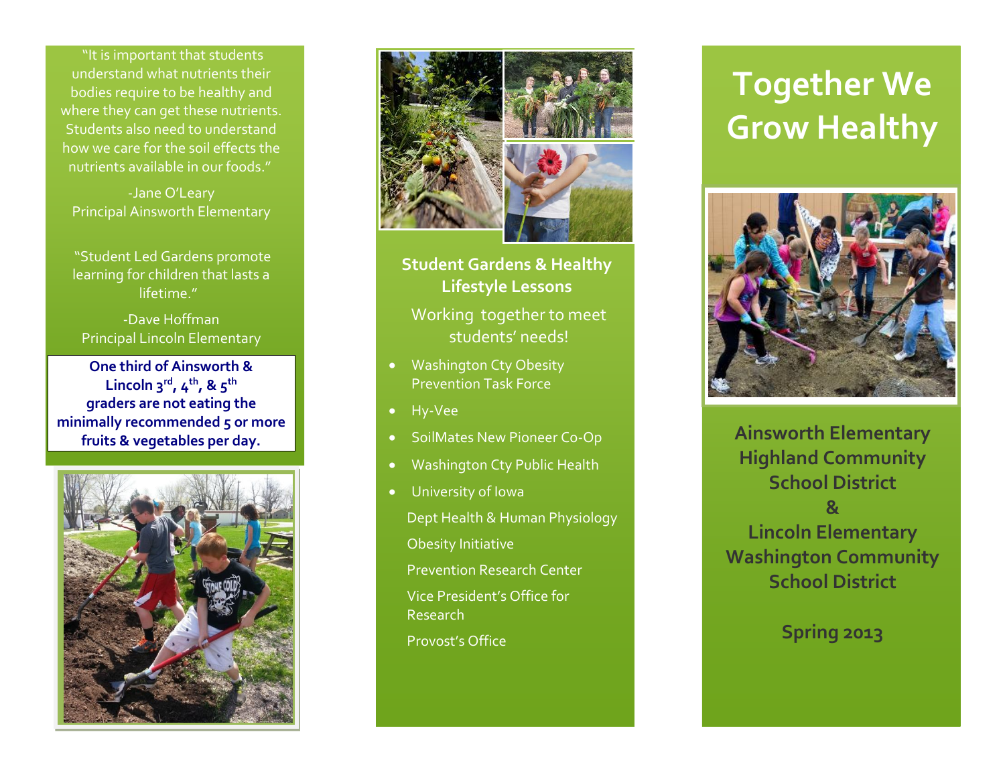"It is important that students understand what nutrients their bodies require to be healthy and where they can get these nutrients. Students also need to understand how we care for the soil effects the nutrients available in our foods."

-Jane O'Leary Principal Ainsworth Elementary

"Student Led Gardens promote learning for children that lasts a lifetime."

-Dave Hoffman Principal Lincoln Elementary

**On e third of Ainsworth & Lincoln 3rd, 4th, & 5th graders are not eating the minimally recommended 5 or more fruits & vegetables per day.**





**Student Gardens & Healthy Lifestyle Lessons**

Working together to meet students' needs!

- Washington Cty Obesity Prevention Task Force
- Hy-Vee
- SoilMates New Pioneer Co-Op
- Washington Cty Public Health
- University of Iowa

Dept Health & Human Physiology Obesity Initiative

Prevention Research Center

Vice President's Office for Research

Provost's Office

## **Together We Grow Healthy**



**Ainsworth Elementary Highland Community School District & Lincoln Elementary Washington Community School District**

**Spring 2013**